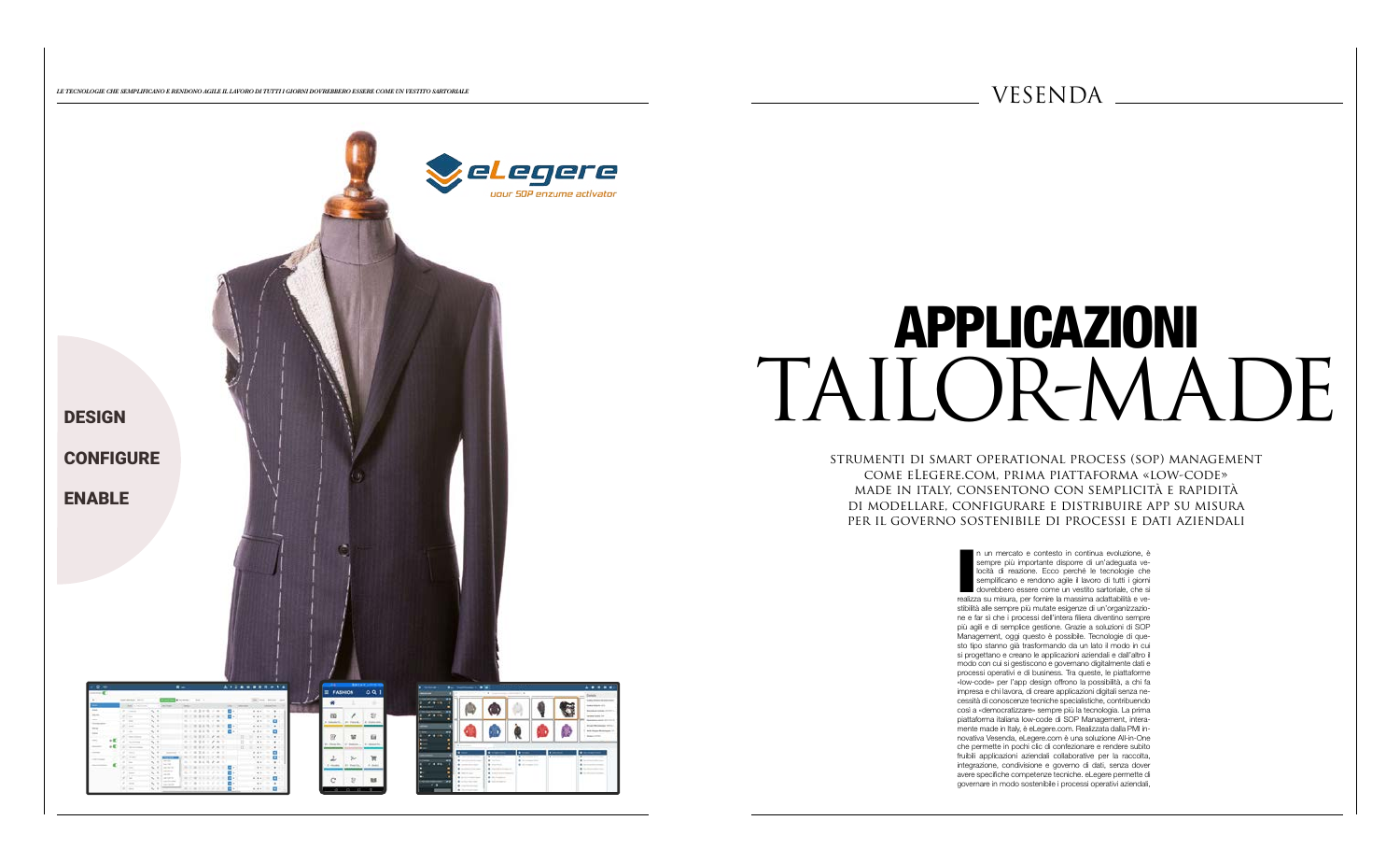

*LE TECNOLOGIE CHE SEMPLIFICANO E RENDONO AGILE IL LAVORO DI TUTTI I GIORNI DOVREBBERO ESSERE COME UN VESTITO SARTORIALE* 

# APPLICAZIONI TAILOR-MADE

strumenti di smart operational process (sop) management come eLegere.com, prima piattaforma «low-code» made in italy, consentono con semplicità e rapidità di modellare, configurare e distribuire app su misura per il governo sostenibile di processi e dati aziendali

> n un mercato e contesto in continua evoluzione, è sempre più importante disporre di un'adeguata ve-locità di reazione. Ecco perché le tecnologie che semplificano e rendono agile il lavoro di tutti i giorni dovrebbero esser n un mercato e contesto in continua evoluzione, è sempre più importante disporre di un'adeguata velocità di reazione. Ecco perché le tecnologie che semplificano e rendono agile il lavoro di tutti i giorni dovrebbero essere come un vestito sartoriale, che si stibilità alle sempre più mutate esigenze di un'organizzazione e far sì che i processi dell'intera filiera diventino sempre più agili e di semplice gestione. Grazie a soluzioni di SOP Management, oggi questo è possibile. Tecnologie di questo tipo stanno già trasformando da un lato il modo in cui si progettano e creano le applicazioni aziendali e dall'altro il modo con cui si gestiscono e governano digitalmente dati e processi operativi e di business. Tra queste, le piattaforme «low-code» per l'app design offrono la possibilità, a chi fa impresa e chi lavora, di creare applicazioni digitali senza necessità di conoscenze tecniche specialistiche, contribuendo così a «democratizzare» sempre più la tecnologia. La prima piattaforma italiana low-code di SOP Management, interamente made in Italy, è eLegere.com. Realizzata dalla PMI innovativa Vesenda, eLegere.com è una soluzione All-in-One che permette in pochi clic di confezionare e rendere subito fruibili applicazioni aziendali collaborative per la raccolta, integrazione, condivisione e governo di dati, senza dover avere specifiche competenze tecniche. eLegere permette di governare in modo sostenibile i processi operativi aziendali,